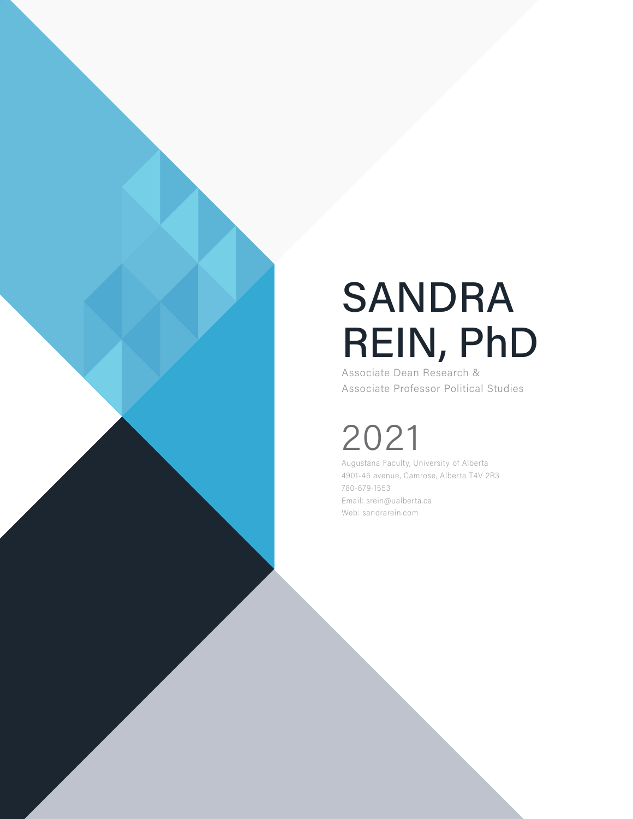# SANDRA REIN, PhD

Associate Dean Research & Associate Professor Political Studies

## 2021

Augustana Faculty, University of Alberta 4901-46 avenue, Camrose, Alberta T4V 2R3 780-679-1553 Email: srein@ualberta.ca Web: sandrarein.com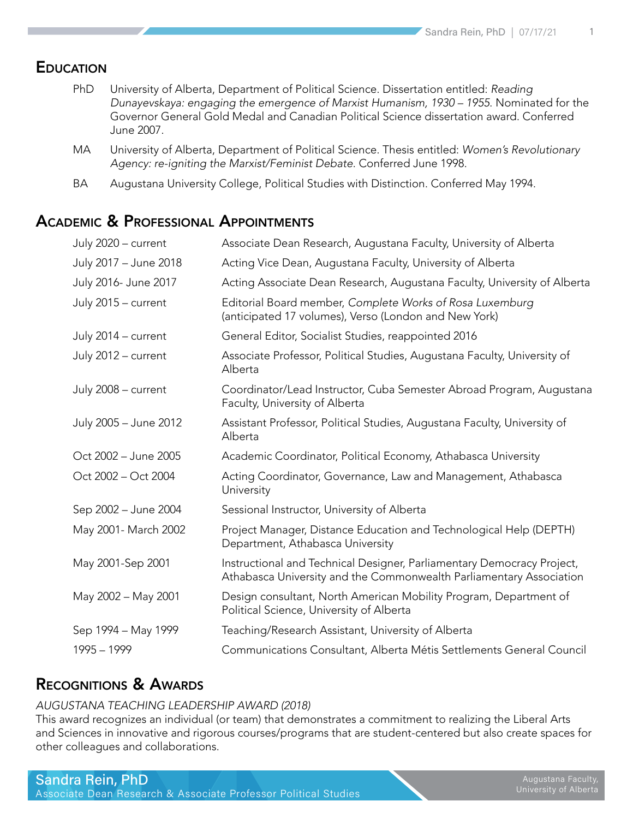#### **EDUCATION**

- PhD University of Alberta, Department of Political Science. Dissertation entitled: *Reading Dunayevskaya: engaging the emergence of Marxist Humanism, 1930 – 1955*. Nominated for the Governor General Gold Medal and Canadian Political Science dissertation award. Conferred June 2007.
- MA University of Alberta, Department of Political Science. Thesis entitled: *Women's Revolutionary Agency: re-igniting the Marxist/Feminist Debate*. Conferred June 1998.
- BA Augustana University College, Political Studies with Distinction. Conferred May 1994.

#### Academic & Professional Appointments

| July 2020 - current   | Associate Dean Research, Augustana Faculty, University of Alberta                                                                             |
|-----------------------|-----------------------------------------------------------------------------------------------------------------------------------------------|
| July 2017 - June 2018 | Acting Vice Dean, Augustana Faculty, University of Alberta                                                                                    |
| July 2016- June 2017  | Acting Associate Dean Research, Augustana Faculty, University of Alberta                                                                      |
| July 2015 - current   | Editorial Board member, Complete Works of Rosa Luxemburg<br>(anticipated 17 volumes), Verso (London and New York)                             |
| July 2014 - current   | General Editor, Socialist Studies, reappointed 2016                                                                                           |
| July 2012 - current   | Associate Professor, Political Studies, Augustana Faculty, University of<br>Alberta                                                           |
| July 2008 - current   | Coordinator/Lead Instructor, Cuba Semester Abroad Program, Augustana<br>Faculty, University of Alberta                                        |
| July 2005 - June 2012 | Assistant Professor, Political Studies, Augustana Faculty, University of<br>Alberta                                                           |
| Oct 2002 - June 2005  | Academic Coordinator, Political Economy, Athabasca University                                                                                 |
| Oct 2002 - Oct 2004   | Acting Coordinator, Governance, Law and Management, Athabasca<br>University                                                                   |
| Sep 2002 - June 2004  | Sessional Instructor, University of Alberta                                                                                                   |
| May 2001- March 2002  | Project Manager, Distance Education and Technological Help (DEPTH)<br>Department, Athabasca University                                        |
| May 2001-Sep 2001     | Instructional and Technical Designer, Parliamentary Democracy Project,<br>Athabasca University and the Commonwealth Parliamentary Association |
| May 2002 - May 2001   | Design consultant, North American Mobility Program, Department of<br>Political Science, University of Alberta                                 |
| Sep 1994 - May 1999   | Teaching/Research Assistant, University of Alberta                                                                                            |
| 1995 - 1999           | Communications Consultant, Alberta Métis Settlements General Council                                                                          |
|                       |                                                                                                                                               |

#### Recognitions & Awards

#### *AUGUSTANA TEACHING LEADERSHIP AWARD (2018)*

This award recognizes an individual (or team) that demonstrates a commitment to realizing the Liberal Arts and Sciences in innovative and rigorous courses/programs that are student-centered but also create spaces for other colleagues and collaborations.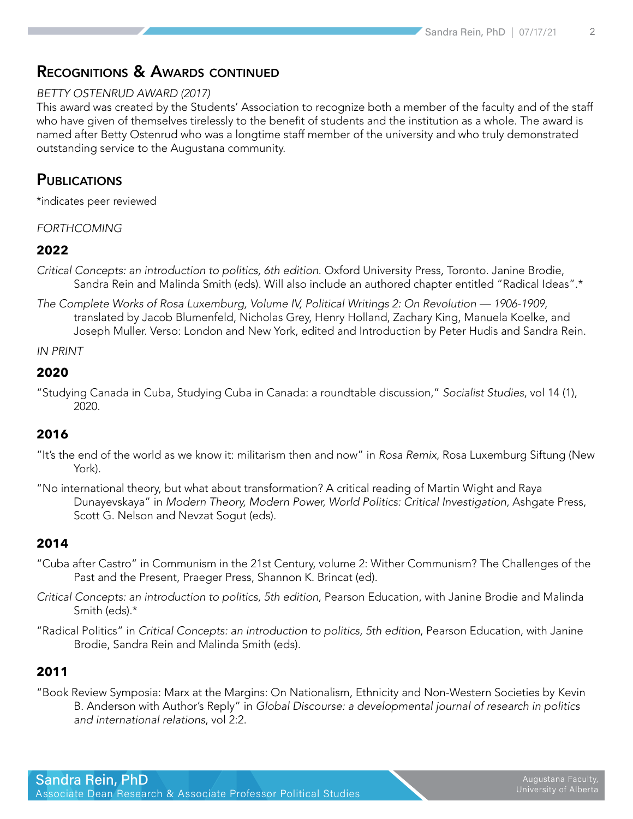#### Recognitions & Awards continued

#### *BETTY OSTENRUD AWARD (2017)*

This award was created by the Students' Association to recognize both a member of the faculty and of the staff who have given of themselves tirelessly to the benefit of students and the institution as a whole. The award is named after Betty Ostenrud who was a longtime staff member of the university and who truly demonstrated outstanding service to the Augustana community.

#### **PUBLICATIONS**

\*indicates peer reviewed

#### *FORTHCOMING*

#### **2022**

- *Critical Concepts: an introduction to politics, 6th edition*. Oxford University Press, Toronto. Janine Brodie, Sandra Rein and Malinda Smith (eds). Will also include an authored chapter entitled "Radical Ideas".\*
- *The Complete Works of Rosa Luxemburg, Volume IV, Political Writings 2: On Revolution 1906-1909*, translated by Jacob Blumenfeld, Nicholas Grey, Henry Holland, Zachary King, Manuela Koelke, and Joseph Muller. Verso: London and New York, edited and Introduction by Peter Hudis and Sandra Rein.

*IN PRINT*

#### **2020**

"Studying Canada in Cuba, Studying Cuba in Canada: a roundtable discussion," *Socialist Studies*, vol 14 (1), 2020.

#### **2016**

- "It's the end of the world as we know it: militarism then and now" in *Rosa Remix*, Rosa Luxemburg Siftung (New York).
- "No international theory, but what about transformation? A critical reading of Martin Wight and Raya Dunayevskaya" in *Modern Theory, Modern Power, World Politics: Critical Investigation*, Ashgate Press, Scott G. Nelson and Nevzat Sogut (eds).

#### **2014**

- "Cuba after Castro" in Communism in the 21st Century, volume 2: Wither Communism? The Challenges of the Past and the Present, Praeger Press, Shannon K. Brincat (ed).
- *Critical Concepts: an introduction to politics, 5th edition*, Pearson Education, with Janine Brodie and Malinda Smith (eds).\*
- "Radical Politics" in *Critical Concepts: an introduction to politics, 5th edition*, Pearson Education, with Janine Brodie, Sandra Rein and Malinda Smith (eds).

#### **2011**

"Book Review Symposia: Marx at the Margins: On Nationalism, Ethnicity and Non-Western Societies by Kevin B. Anderson with Author's Reply" in *Global Discourse: a developmental journal of research in politics and international relations*, vol 2:2.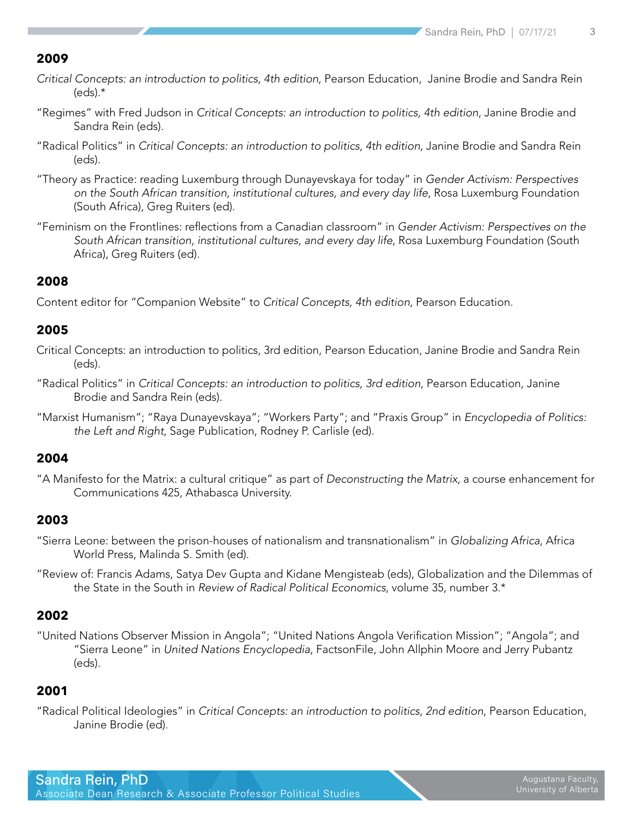- *Critical Concepts: an introduction to politics, 4th edition*, Pearson Education, Janine Brodie and Sandra Rein (eds).\*
- "Regimes" with Fred Judson in *Critical Concepts: an introduction to politics, 4th edition*, Janine Brodie and Sandra Rein (eds).
- "Radical Politics" in *Critical Concepts: an introduction to politics, 4th edition*, Janine Brodie and Sandra Rein (eds).
- "Theory as Practice: reading Luxemburg through Dunayevskaya for today" in *Gender Activism: Perspectives on the South African transition, institutional cultures, and every day life*, Rosa Luxemburg Foundation (South Africa), Greg Ruiters (ed).
- "Feminism on the Frontlines: reflections from a Canadian classroom" in *Gender Activism: Perspectives on the South African transition, institutional cultures, and every day life*, Rosa Luxemburg Foundation (South Africa), Greg Ruiters (ed).

#### **2008**

Content editor for "Companion Website" to *Critical Concepts, 4th edition,* Pearson Education.

#### **2005**

- Critical Concepts: an introduction to politics, 3rd edition, Pearson Education, Janine Brodie and Sandra Rein (eds).
- "Radical Politics" in *Critical Concepts: an introduction to politics, 3rd edition*, Pearson Education, Janine Brodie and Sandra Rein (eds).
- "Marxist Humanism"; "Raya Dunayevskaya"; "Workers Party"; and "Praxis Group" in *Encyclopedia of Politics: the Left and Right*, Sage Publication, Rodney P. Carlisle (ed).

#### **2004**

"A Manifesto for the Matrix: a cultural critique" as part of *Deconstructing the Matrix*, a course enhancement for Communications 425, Athabasca University.

#### **2003**

- "Sierra Leone: between the prison-houses of nationalism and transnationalism" in *Globalizing Africa*, Africa World Press, Malinda S. Smith (ed).
- "Review of: Francis Adams, Satya Dev Gupta and Kidane Mengisteab (eds), Globalization and the Dilemmas of the State in the South in *Review of Radical Political Economics*, volume 35, number 3.\*

#### **2002**

"United Nations Observer Mission in Angola"; "United Nations Angola Verification Mission"; "Angola"; and "Sierra Leone" in *United Nations Encyclopedia*, FactsonFile, John Allphin Moore and Jerry Pubantz (eds).

#### **2001**

"Radical Political Ideologies" in *Critical Concepts: an introduction to politics, 2nd edition*, Pearson Education, Janine Brodie (ed).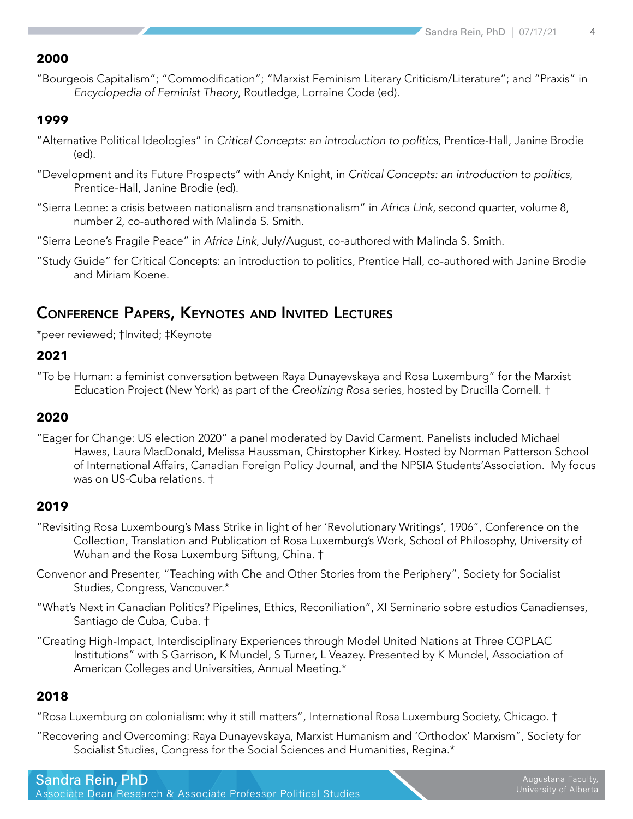"Bourgeois Capitalism"; "Commodification"; "Marxist Feminism Literary Criticism/Literature"; and "Praxis" in *Encyclopedia of Feminist Theory*, Routledge, Lorraine Code (ed).

#### **1999**

- "Alternative Political Ideologies" in *Critical Concepts: an introduction to politics*, Prentice-Hall, Janine Brodie (ed).
- "Development and its Future Prospects" with Andy Knight, in *Critical Concepts: an introduction to politics*, Prentice-Hall, Janine Brodie (ed).
- "Sierra Leone: a crisis between nationalism and transnationalism" in *Africa Link*, second quarter, volume 8, number 2, co-authored with Malinda S. Smith.
- "Sierra Leone's Fragile Peace" in *Africa Link*, July/August, co-authored with Malinda S. Smith.
- "Study Guide" for Critical Concepts: an introduction to politics, Prentice Hall, co-authored with Janine Brodie and Miriam Koene.

#### Conference Papers, Keynotes and Invited Lectures

\*peer reviewed; †Invited; ‡Keynote

#### **2021**

"To be Human: a feminist conversation between Raya Dunayevskaya and Rosa Luxemburg" for the Marxist Education Project (New York) as part of the *Creolizing Rosa* series, hosted by Drucilla Cornell. †

#### **2020**

"Eager for Change: US election 2020" a panel moderated by David Carment. Panelists included Michael Hawes, Laura MacDonald, Melissa Haussman, Chirstopher Kirkey. Hosted by Norman Patterson School of International Affairs, Canadian Foreign Policy Journal, and the NPSIA Students' Association. My focus was on US-Cuba relations. †

#### **2019**

- "Revisiting Rosa Luxembourg's Mass Strike in light of her 'Revolutionary Writings', 1906", Conference on the Collection, Translation and Publication of Rosa Luxemburg's Work, School of Philosophy, University of Wuhan and the Rosa Luxemburg Siftung, China. †
- Convenor and Presenter, "Teaching with Che and Other Stories from the Periphery", Society for Socialist Studies, Congress, Vancouver.\*
- "What's Next in Canadian Politics? Pipelines, Ethics, Reconiliation", XI Seminario sobre estudios Canadienses, Santiago de Cuba, Cuba. †
- "Creating High-Impact, Interdisciplinary Experiences through Model United Nations at Three COPLAC Institutions" with S Garrison, K Mundel, S Turner, L Veazey. Presented by K Mundel, Association of American Colleges and Universities, Annual Meeting.\*

#### **2018**

"Rosa Luxemburg on colonialism: why it still matters", International Rosa Luxemburg Society, Chicago. †

"Recovering and Overcoming: Raya Dunayevskaya, Marxist Humanism and 'Orthodox' Marxism", Society for Socialist Studies, Congress for the Social Sciences and Humanities, Regina.\*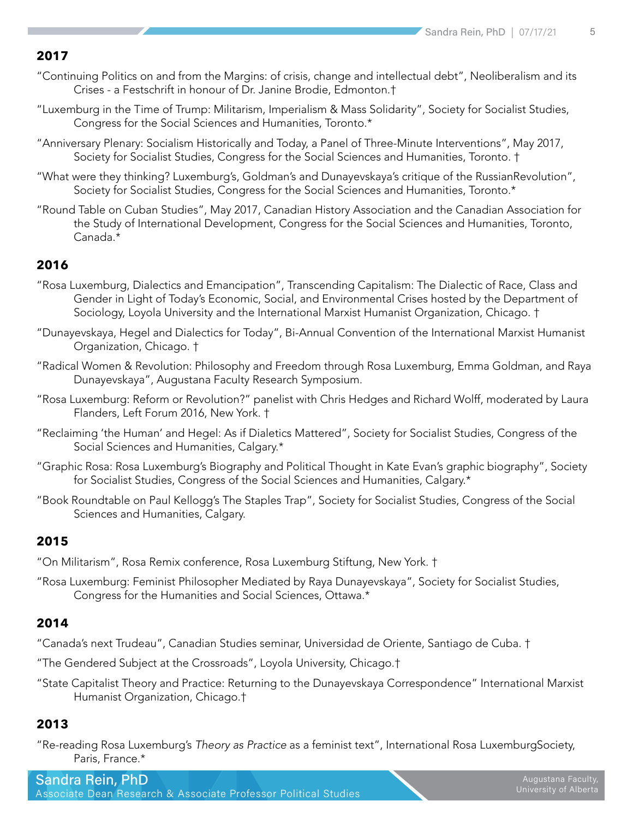- "Continuing Politics on and from the Margins: of crisis, change and intellectual debt", Neoliberalism and its Crises - a Festschrift in honour of Dr. Janine Brodie, Edmonton.†
- "Luxemburg in the Time of Trump: Militarism, Imperialism & Mass Solidarity", Society for Socialist Studies, Congress for the Social Sciences and Humanities, Toronto.\*
- "Anniversary Plenary: Socialism Historically and Today, a Panel of Three-Minute Interventions", May 2017, Society for Socialist Studies, Congress for the Social Sciences and Humanities, Toronto. †
- "What were they thinking? Luxemburg's, Goldman's and Dunayevskaya's critique of the RussianRevolution", Society for Socialist Studies, Congress for the Social Sciences and Humanities, Toronto.\*
- "Round Table on Cuban Studies", May 2017, Canadian History Association and the Canadian Association for the Study of International Development, Congress for the Social Sciences and Humanities, Toronto, Canada.\*

#### **2016**

- "Rosa Luxemburg, Dialectics and Emancipation", Transcending Capitalism: The Dialectic of Race, Class and Gender in Light of Today's Economic, Social, and Environmental Crises hosted by the Department of Sociology, Loyola University and the International Marxist Humanist Organization, Chicago. †
- "Dunayevskaya, Hegel and Dialectics for Today", Bi-Annual Convention of the International Marxist Humanist Organization, Chicago. †
- "Radical Women & Revolution: Philosophy and Freedom through Rosa Luxemburg, Emma Goldman, and Raya Dunayevskaya", Augustana Faculty Research Symposium.
- "Rosa Luxemburg: Reform or Revolution?" panelist with Chris Hedges and Richard Wolff, moderated by Laura Flanders, Left Forum 2016, New York. †
- "Reclaiming 'the Human' and Hegel: As if Dialetics Mattered", Society for Socialist Studies, Congress of the Social Sciences and Humanities, Calgary.\*
- "Graphic Rosa: Rosa Luxemburg's Biography and Political Thought in Kate Evan's graphic biography", Society for Socialist Studies, Congress of the Social Sciences and Humanities, Calgary.\*
- "Book Roundtable on Paul Kellogg's The Staples Trap", Society for Socialist Studies, Congress of the Social Sciences and Humanities, Calgary.

#### **2015**

- "On Militarism", Rosa Remix conference, Rosa Luxemburg Stiftung, New York. †
- "Rosa Luxemburg: Feminist Philosopher Mediated by Raya Dunayevskaya", Society for Socialist Studies, Congress for the Humanities and Social Sciences, Ottawa.\*

#### **2014**

- "Canada's next Trudeau", Canadian Studies seminar, Universidad de Oriente, Santiago de Cuba. †
- "The Gendered Subject at the Crossroads", Loyola University, Chicago.†
- "State Capitalist Theory and Practice: Returning to the Dunayevskaya Correspondence" International Marxist Humanist Organization, Chicago.†

#### **2013**

"Re-reading Rosa Luxemburg's *Theory as Practice* as a feminist text", International Rosa Luxemburg Society, Paris, France.\*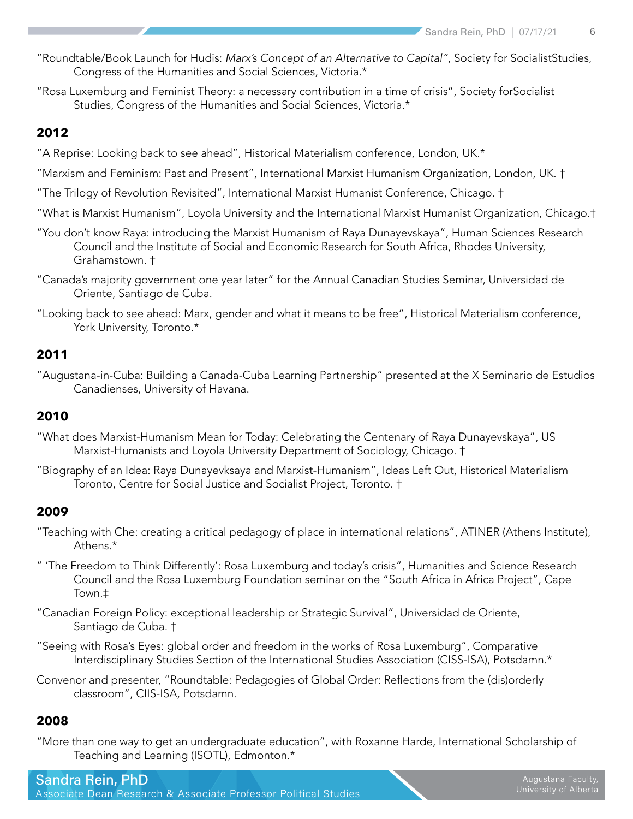- "Roundtable/Book Launch for Hudis: *Marx's Concept of an Alternative to Capital"*, Society for Socialist Studies, Congress of the Humanities and Social Sciences, Victoria.\*
- "Rosa Luxemburg and Feminist Theory: a necessary contribution in a time of crisis", Society for Socialist Studies, Congress of the Humanities and Social Sciences, Victoria.\*

"A Reprise: Looking back to see ahead", Historical Materialism conference, London, UK.\*

- "Marxism and Feminism: Past and Present", International Marxist Humanism Organization, London, UK. †
- "The Trilogy of Revolution Revisited", International Marxist Humanist Conference, Chicago. †
- "What is Marxist Humanism", Loyola University and the International Marxist Humanist Organization, Chicago.†
- "You don't know Raya: introducing the Marxist Humanism of Raya Dunayevskaya", Human Sciences Research Council and the Institute of Social and Economic Research for South Africa, Rhodes University, Grahamstown. †
- "Canada's majority government one year later" for the Annual Canadian Studies Seminar, Universidad de Oriente, Santiago de Cuba.
- "Looking back to see ahead: Marx, gender and what it means to be free", Historical Materialism conference, York University, Toronto.\*

#### **2011**

"Augustana-in-Cuba: Building a Canada-Cuba Learning Partnership" presented at the X Seminario de Estudios Canadienses, University of Havana.

#### **2010**

- "What does Marxist-Humanism Mean for Today: Celebrating the Centenary of Raya Dunayevskaya", US Marxist-Humanists and Loyola University Department of Sociology, Chicago. †
- "Biography of an Idea: Raya Dunayevksaya and Marxist-Humanism", Ideas Left Out, Historical Materialism Toronto, Centre for Social Justice and Socialist Project, Toronto. †

#### **2009**

- "Teaching with Che: creating a critical pedagogy of place in international relations", ATINER (Athens Institute), Athens.\*
- " 'The Freedom to Think Differently': Rosa Luxemburg and today's crisis", Humanities and Science Research Council and the Rosa Luxemburg Foundation seminar on the "South Africa in Africa Project", Cape Town.‡
- "Canadian Foreign Policy: exceptional leadership or Strategic Survival", Universidad de Oriente, Santiago de Cuba. †
- "Seeing with Rosa's Eyes: global order and freedom in the works of Rosa Luxemburg", Comparative Interdisciplinary Studies Section of the International Studies Association (CISS-ISA), Potsdamn.\*
- Convenor and presenter, "Roundtable: Pedagogies of Global Order: Reflections from the (dis)orderly classroom", CIIS-ISA, Potsdamn.

#### **2008**

"More than one way to get an undergraduate education", with Roxanne Harde, International Scholarship of Teaching and Learning (ISOTL), Edmonton.\*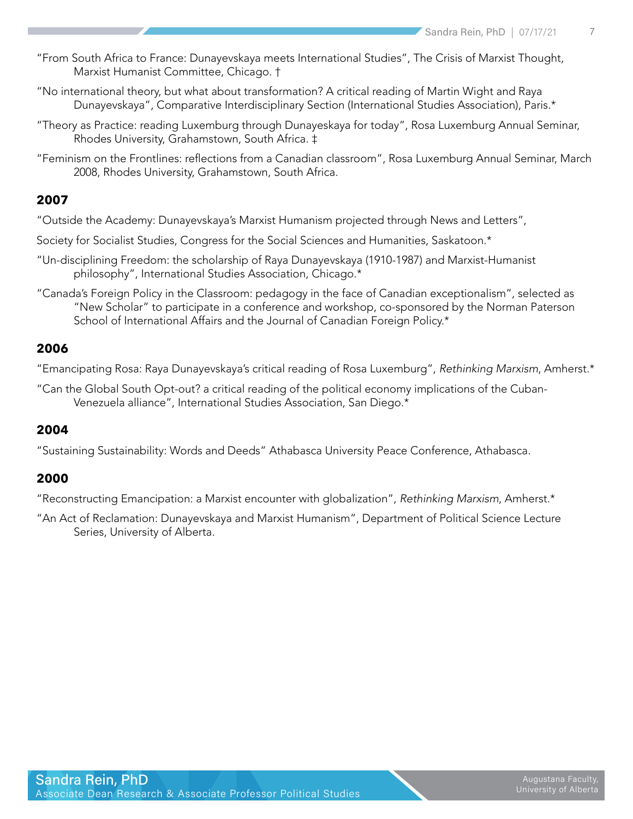- "From South Africa to France: Dunayevskaya meets International Studies", The Crisis of Marxist Thought, Marxist Humanist Committee, Chicago. †
- "No international theory, but what about transformation? A critical reading of Martin Wight and Raya Dunayevskaya", Comparative Interdisciplinary Section (International Studies Association), Paris.\*
- "Theory as Practice: reading Luxemburg through Dunayeskaya for today", Rosa Luxemburg Annual Seminar, Rhodes University, Grahamstown, South Africa. ‡
- "Feminism on the Frontlines: reflections from a Canadian classroom", Rosa Luxemburg Annual Seminar, March 2008, Rhodes University, Grahamstown, South Africa.

- "Outside the Academy: Dunayevskaya's Marxist Humanism projected through News and Letters",
- Society for Socialist Studies, Congress for the Social Sciences and Humanities, Saskatoon.\*
- "Un-disciplining Freedom: the scholarship of Raya Dunayevskaya (1910-1987) and Marxist-Humanist philosophy", International Studies Association, Chicago.\*
- "Canada's Foreign Policy in the Classroom: pedagogy in the face of Canadian exceptionalism", selected as "New Scholar" to participate in a conference and workshop, co-sponsored by the Norman Paterson School of International Affairs and the Journal of Canadian Foreign Policy.\*

#### **2006**

"Emancipating Rosa: Raya Dunayevskaya's critical reading of Rosa Luxemburg", *Rethinking Marxism*, Amherst.\*

"Can the Global South Opt-out? a critical reading of the political economy implications of the Cuban-Venezuela alliance", International Studies Association, San Diego.\*

#### **2004**

"Sustaining Sustainability: Words and Deeds" Athabasca University Peace Conference, Athabasca.

#### **2000**

"Reconstructing Emancipation: a Marxist encounter with globalization", *Rethinking Marxism*, Amherst.\*

"An Act of Reclamation: Dunayevskaya and Marxist Humanism", Department of Political Science Lecture Series, University of Alberta.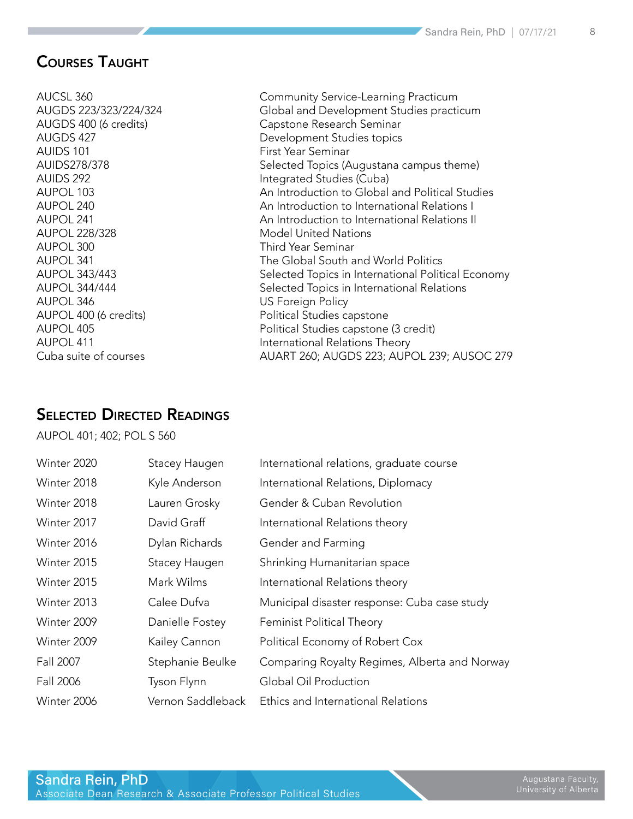#### Courses Taught

- AUIDS 101 **First Year Seminar** AUPOL 228/328 Model United Nations AUPOL 300 Third Year Seminar AUPOL 346 US Foreign Policy
- AUCSL 360 Community Service-Learning Practicum AUGDS 223/323/224/324 Global and Development Studies practicum AUGDS 400 (6 credits) Capstone Research Seminar AUGDS 427 Development Studies topics AUIDS278/378 Selected Topics (Augustana campus theme) AUIDS 292 **Integrated Studies (Cuba)** AUPOL 103 An Introduction to Global and Political Studies AUPOL 240 An Introduction to International Relations I AUPOL 241 An Introduction to International Relations II AUPOL 341 The Global South and World Politics AUPOL 343/443 Selected Topics in International Political Economy AUPOL 344/444 **Selected Topics in International Relations** AUPOL 400 (6 credits) entitled and the Political Studies capstone AUPOL 405 Political Studies capstone (3 credit) AUPOL 411 **International Relations Theory** Cuba suite of courses AUART 260; AUGDS 223; AUPOL 239; AUSOC 279

#### Selected Directed Readings

AUPOL 401; 402; POL S 560

| Winter 2020 | Stacey Haugen     | International relations, graduate course      |
|-------------|-------------------|-----------------------------------------------|
| Winter 2018 | Kyle Anderson     | International Relations, Diplomacy            |
| Winter 2018 | Lauren Grosky     | Gender & Cuban Revolution                     |
| Winter 2017 | David Graff       | International Relations theory                |
| Winter 2016 | Dylan Richards    | Gender and Farming                            |
| Winter 2015 | Stacey Haugen     | Shrinking Humanitarian space                  |
| Winter 2015 | Mark Wilms        | International Relations theory                |
| Winter 2013 | Calee Dufva       | Municipal disaster response: Cuba case study  |
| Winter 2009 | Danielle Fostey   | <b>Feminist Political Theory</b>              |
| Winter 2009 | Kailey Cannon     | Political Economy of Robert Cox               |
| Fall 2007   | Stephanie Beulke  | Comparing Royalty Regimes, Alberta and Norway |
| Fall 2006   | Tyson Flynn       | Global Oil Production                         |
| Winter 2006 | Vernon Saddleback | Ethics and International Relations            |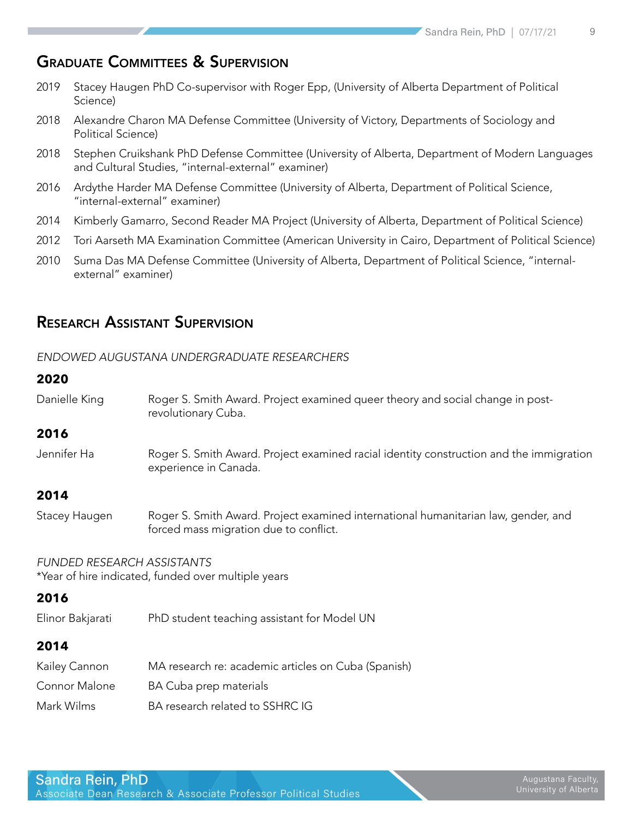#### Graduate Committees & Supervision

- 2019 Stacey Haugen PhD Co-supervisor with Roger Epp, (University of Alberta Department of Political Science)
- 2018 Alexandre Charon MA Defense Committee (University of Victory, Departments of Sociology and Political Science)
- 2018 Stephen Cruikshank PhD Defense Committee (University of Alberta, Department of Modern Languages and Cultural Studies, "internal-external" examiner)
- 2016 Ardythe Harder MA Defense Committee (University of Alberta, Department of Political Science, "internal-external" examiner)
- 2014 Kimberly Gamarro, Second Reader MA Project (University of Alberta, Department of Political Science)
- 2012 Tori Aarseth MA Examination Committee (American University in Cairo, Department of Political Science)
- 2010 Suma Das MA Defense Committee (University of Alberta, Department of Political Science, "internalexternal" examiner)

#### Research Assistant Supervision

#### *ENDOWED AUGUSTANA UNDERGRADUATE RESEARCHERS*

#### **2020**

Danielle King Roger S. Smith Award. Project examined queer theory and social change in postrevolutionary Cuba.

#### **2016**

Jennifer Ha Roger S. Smith Award. Project examined racial identity construction and the immigration experience in Canada.

#### **2014**

Stacey Haugen Roger S. Smith Award. Project examined international humanitarian law, gender, and forced mass migration due to conflict.

*FUNDED RESEARCH ASSISTANTS* \*Year of hire indicated, funded over multiple years

#### **2016**

Elinor Bakjarati PhD student teaching assistant for Model UN

#### **2014**

| Kailey Cannon | MA research re: academic articles on Cuba (Spanish) |
|---------------|-----------------------------------------------------|
| Connor Malone | BA Cuba prep materials                              |
| Mark Wilms    | BA research related to SSHRC IG                     |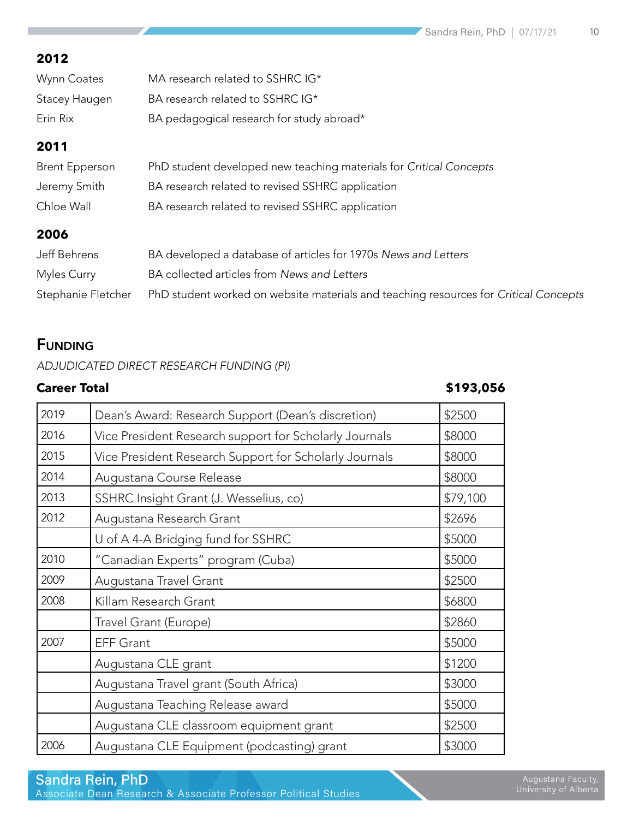| Wynn Coates   | MA research related to SSHRC IG*          |
|---------------|-------------------------------------------|
| Stacey Haugen | BA research related to SSHRC IG*          |
| Erin Rix      | BA pedagogical research for study abroad* |

#### **2011**

| Brent Epperson | PhD student developed new teaching materials for Critical Concepts |
|----------------|--------------------------------------------------------------------|
| Jeremy Smith   | BA research related to revised SSHRC application                   |
| Chloe Wall     | BA research related to revised SSHRC application                   |

#### **2006**

| Jeff Behrens       | BA developed a database of articles for 1970s News and Letters                       |
|--------------------|--------------------------------------------------------------------------------------|
| Myles Curry        | BA collected articles from News and Letters                                          |
| Stephanie Fletcher | PhD student worked on website materials and teaching resources for Critical Concepts |

### **FUNDING**

*ADJUDICATED DIRECT RESEARCH FUNDING (PI)*

#### **Career Total \$193,056**

| 2019 | Dean's Award: Research Support (Dean's discretion)     | \$2500   |
|------|--------------------------------------------------------|----------|
| 2016 | Vice President Research support for Scholarly Journals | \$8000   |
| 2015 | Vice President Research Support for Scholarly Journals | \$8000   |
| 2014 | Augustana Course Release                               | \$8000   |
| 2013 | SSHRC Insight Grant (J. Wesselius, co)                 | \$79,100 |
| 2012 | Augustana Research Grant                               | \$2696   |
|      | U of A 4-A Bridging fund for SSHRC                     | \$5000   |
| 2010 | "Canadian Experts" program (Cuba)                      | \$5000   |
| 2009 | Augustana Travel Grant                                 | \$2500   |
| 2008 | Killam Research Grant                                  | \$6800   |
|      | Travel Grant (Europe)                                  | \$2860   |
| 2007 | <b>EFF Grant</b>                                       | \$5000   |
|      | Augustana CLE grant                                    | \$1200   |
|      | Augustana Travel grant (South Africa)                  | \$3000   |
|      | Augustana Teaching Release award                       | \$5000   |
|      | Augustana CLE classroom equipment grant                | \$2500   |
| 2006 | Augustana CLE Equipment (podcasting) grant             | \$3000   |

Associate Dean Research & Associate Professor Political Studies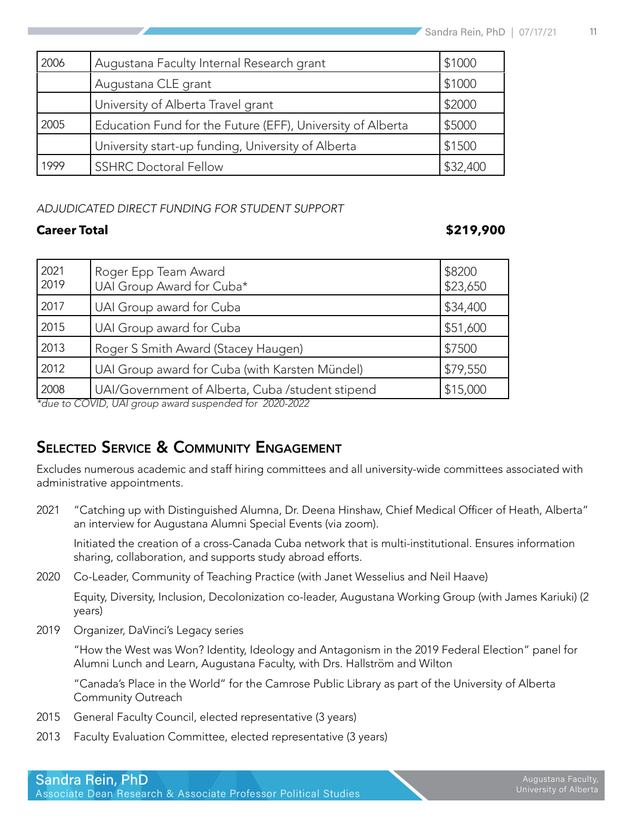| 2006 | Augustana Faculty Internal Research grant                  | \$1000   |
|------|------------------------------------------------------------|----------|
|      | Augustana CLE grant                                        | \$1000   |
|      | University of Alberta Travel grant                         | \$2000   |
| 2005 | Education Fund for the Future (EFF), University of Alberta | \$5000   |
|      | University start-up funding, University of Alberta         | \$1500   |
| 1999 | <b>SSHRC Doctoral Fellow</b>                               | \$32,400 |

#### *ADJUDICATED DIRECT FUNDING FOR STUDENT SUPPORT*

#### **Career Total \$219,900**

| 2021<br>2019                                           | Roger Epp Team Award<br>UAI Group Award for Cuba* | \$8200<br>\$23,650 |
|--------------------------------------------------------|---------------------------------------------------|--------------------|
| 2017                                                   | UAI Group award for Cuba                          | \$34,400           |
| 2015                                                   | UAI Group award for Cuba                          | \$51,600           |
| 2013                                                   | Roger S Smith Award (Stacey Haugen)               | \$7500             |
| 2012                                                   | UAI Group award for Cuba (with Karsten Mündel)    | \$79,550           |
| 2008                                                   | UAI/Government of Alberta, Cuba /student stipend  | \$15,000           |
| *due to COVID, UAI group award suspended for 2020-2022 |                                                   |                    |

SELECTED SERVICE & COMMUNITY ENGAGEMENT

Excludes numerous academic and staff hiring committees and all university-wide committees associated with administrative appointments.

2021 "Catching up with Distinguished Alumna, Dr. Deena Hinshaw, Chief Medical Officer of Heath, Alberta" an interview for Augustana Alumni Special Events (via zoom).

Initiated the creation of a cross-Canada Cuba network that is multi-institutional. Ensures information sharing, collaboration, and supports study abroad efforts.

2020 Co-Leader, Community of Teaching Practice (with Janet Wesselius and Neil Haave)

Equity, Diversity, Inclusion, Decolonization co-leader, Augustana Working Group (with James Kariuki) (2 years)

2019 Organizer, DaVinci's Legacy series

"How the West was Won? Identity, Ideology and Antagonism in the 2019 Federal Election" panel for Alumni Lunch and Learn, Augustana Faculty, with Drs. Hallström and Wilton

"Canada's Place in the World" for the Camrose Public Library as part of the University of Alberta Community Outreach

- 2015 General Faculty Council, elected representative (3 years)
- 2013 Faculty Evaluation Committee, elected representative (3 years)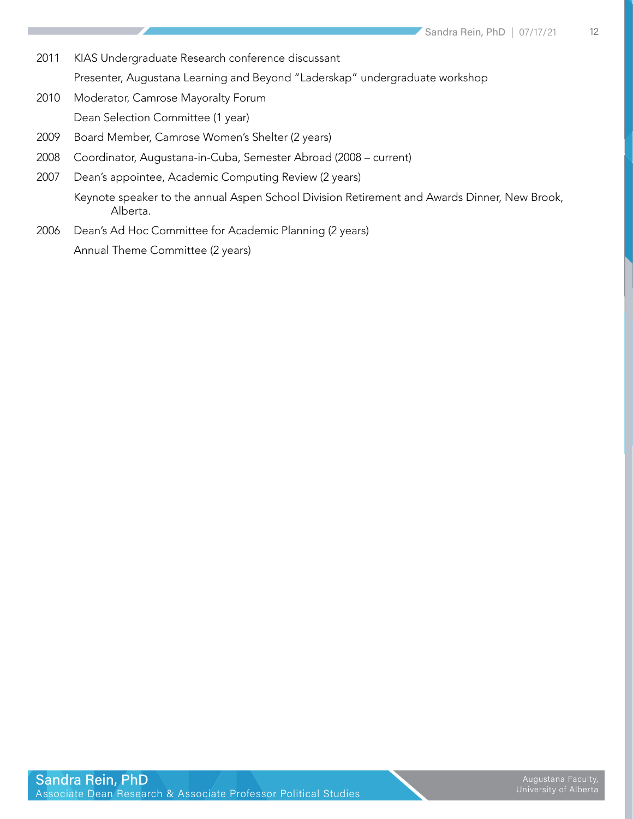- 2011 KIAS Undergraduate Research conference discussant Presenter, Augustana Learning and Beyond "Laderskap" undergraduate workshop
- 2010 Moderator, Camrose Mayoralty Forum Dean Selection Committee (1 year)
- 2009 Board Member, Camrose Women's Shelter (2 years)
- 2008 Coordinator, Augustana-in-Cuba, Semester Abroad (2008 current)
- 2007 Dean's appointee, Academic Computing Review (2 years) Keynote speaker to the annual Aspen School Division Retirement and Awards Dinner, New Brook, Alberta.
- 2006 Dean's Ad Hoc Committee for Academic Planning (2 years) Annual Theme Committee (2 years)